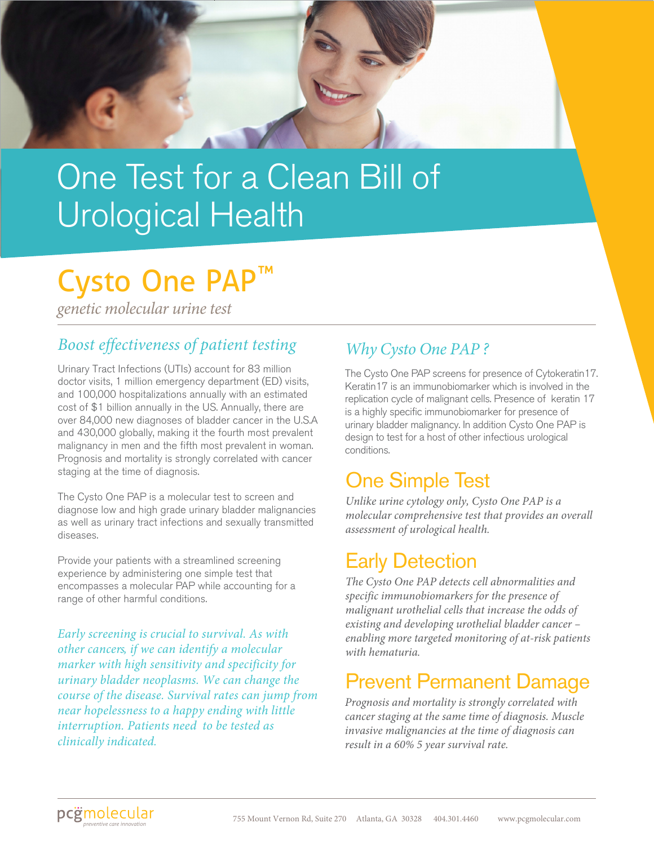

## One Test for a Clean Bill of Urological Health

## Cysto One PAP ™

*genetic molecular urine test*

### *Boost effectiveness of patient testing*

Urinary Tract Infections (UTIs) account for 83 million doctor visits, 1 million emergency department (ED) visits, and 100,000 hospitalizations annually with an estimated cost of \$1 billion annually in the US. Annually, there are over 84,000 new diagnoses of bladder cancer in the U.S.A and 430,000 globally, making it the fourth most prevalent malignancy in men and the fifth most prevalent in woman. Prognosis and mortality is strongly correlated with cancer staging at the time of diagnosis.

The Cysto One PAP is a molecular test to screen and diagnose low and high grade urinary bladder malignancies as well as urinary tract infections and sexually transmitted diseases.

Provide your patients with a streamlined screening experience by administering one simple test that encompasses a molecular PAP while accounting for a range of other harmful conditions.

*Early screening is crucial to survival. As with other cancers, if we can identify a molecular marker with high sensitivity and specificity for urinary bladder neoplasms. We can change the course of the disease. Survival rates can jump from near hopelessness to a happy ending with little interruption. Patients need to be tested as clinically indicated.*

### *Why Cysto One PAP ?*

The Cysto One PAP screens for presence of Cytokeratin17. Keratin17 is an immunobiomarker which is involved in the replication cycle of malignant cells. Presence of keratin 17 is a highly specific immunobiomarker for presence of urinary bladder malignancy. In addition Cysto One PAP is design to test for a host of other infectious urological conditions.

## One Simple Test

*Unlike urine cytology only, Cysto One PAP is a molecular comprehensive test that provides an overall assessment of urological health.* 

## Early Detection

*The Cysto One PAP detects cell abnormalities and specific immunobiomarkers for the presence of malignant urothelial cells that increase the odds of existing and developing urothelial bladder cancer – enabling more targeted monitoring of at-risk patients with hematuria.* 

### Prevent Permanent Damage

*Prognosis and mortality is strongly correlated with cancer staging at the same time of diagnosis. Muscle invasive malignancies at the time of diagnosis can result in a 60% 5 year survival rate.*